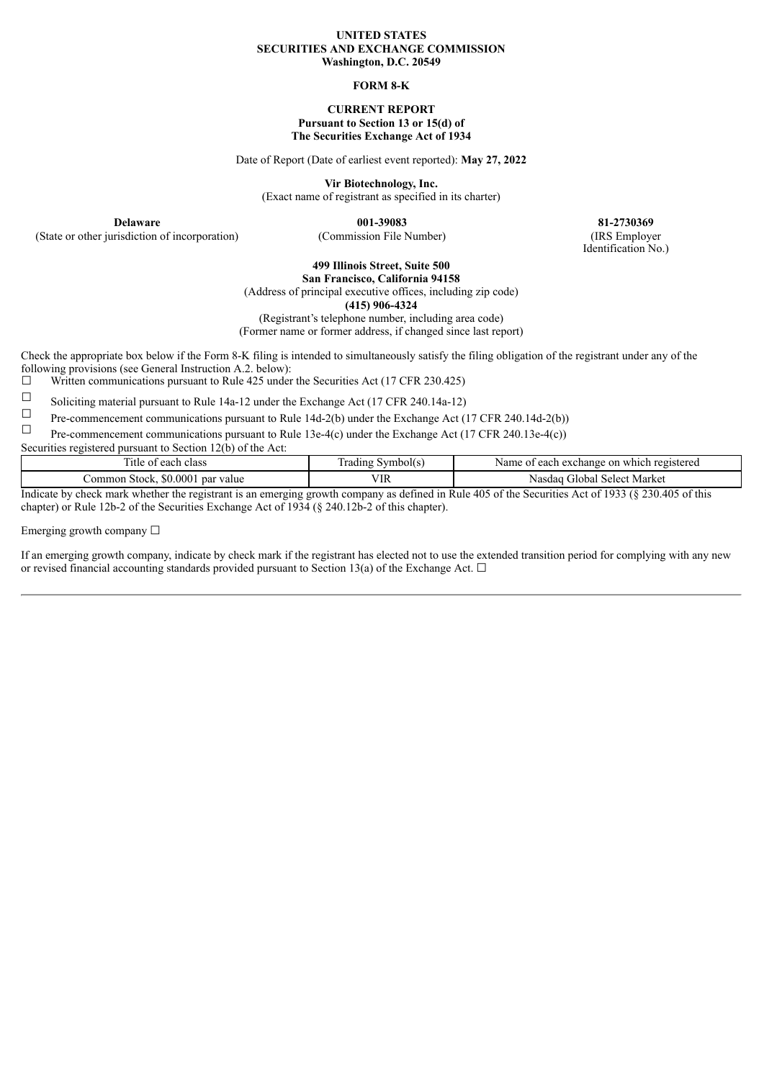### **UNITED STATES SECURITIES AND EXCHANGE COMMISSION Washington, D.C. 20549**

#### **FORM 8-K**

### **CURRENT REPORT Pursuant to Section 13 or 15(d) of The Securities Exchange Act of 1934**

Date of Report (Date of earliest event reported): **May 27, 2022**

**Vir Biotechnology, Inc.**

(Exact name of registrant as specified in its charter)

(State or other jurisdiction of incorporation) (Commission File Number) (IRS Employer

**Delaware 001-39083 81-2730369** Identification No.)

#### **499 Illinois Street, Suite 500 San Francisco, California 94158**

(Address of principal executive offices, including zip code)

**(415) 906-4324**

(Registrant's telephone number, including area code)

(Former name or former address, if changed since last report)

Check the appropriate box below if the Form 8-K filing is intended to simultaneously satisfy the filing obligation of the registrant under any of the following provisions (see General Instruction A.2. below):

 $\Box$  Written communications pursuant to Rule 425 under the Securities Act (17 CFR 230.425)

Soliciting material pursuant to Rule 14a-12 under the Exchange Act (17 CFR 240.14a-12)

Pre-commencement communications pursuant to Rule 14d-2(b) under the Exchange Act (17 CFR 240.14d-2(b))

Pre-commencement communications pursuant to Rule 13e-4(c) under the Exchange Act (17 CFR 240.13e-4(c))

Securities registered pursuant to Section  $12(b)$  of the Act:

| . itle<br>class<br>t each<br>- 01       | vmbol(s)<br>. rading | Name<br>which registered<br>: each exchange on :<br>$\mathbf{u}$    |
|-----------------------------------------|----------------------|---------------------------------------------------------------------|
| \$0.000<br>ommon<br>Stock.<br>par value | TT<br>ıκ<br>         | . Select Market<br>Global<br>Nasdac                                 |
| .                                       |                      | $0.1000 \times 0.0000 100$<br>$\sim$ $\sim$<br>- -<br>$\sim$ $\sim$ |

Indicate by check mark whether the registrant is an emerging growth company as defined in Rule 405 of the Securities Act of 1933 (§ 230.405 of this chapter) or Rule 12b-2 of the Securities Exchange Act of 1934 (§ 240.12b-2 of this chapter).

Emerging growth company  $\Box$ 

If an emerging growth company, indicate by check mark if the registrant has elected not to use the extended transition period for complying with any new or revised financial accounting standards provided pursuant to Section 13(a) of the Exchange Act.  $\Box$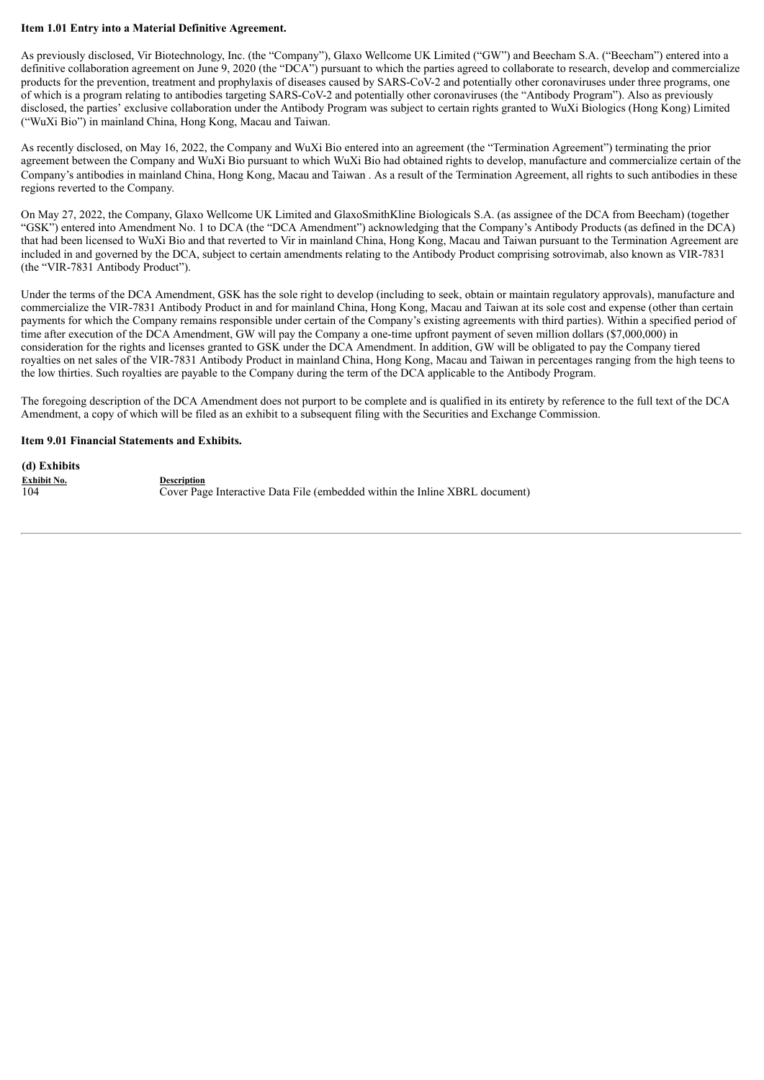# **Item 1.01 Entry into a Material Definitive Agreement.**

As previously disclosed, Vir Biotechnology, Inc. (the "Company"), Glaxo Wellcome UK Limited ("GW") and Beecham S.A. ("Beecham") entered into a definitive collaboration agreement on June 9, 2020 (the "DCA") pursuant to which the parties agreed to collaborate to research, develop and commercialize products for the prevention, treatment and prophylaxis of diseases caused by SARS-CoV-2 and potentially other coronaviruses under three programs, one of which is a program relating to antibodies targeting SARS-CoV-2 and potentially other coronaviruses (the "Antibody Program"). Also as previously disclosed, the parties' exclusive collaboration under the Antibody Program was subject to certain rights granted to WuXi Biologics (Hong Kong) Limited ("WuXi Bio") in mainland China, Hong Kong, Macau and Taiwan.

As recently disclosed, on May 16, 2022, the Company and WuXi Bio entered into an agreement (the "Termination Agreement") terminating the prior agreement between the Company and WuXi Bio pursuant to which WuXi Bio had obtained rights to develop, manufacture and commercialize certain of the Company's antibodies in mainland China, Hong Kong, Macau and Taiwan . As a result of the Termination Agreement, all rights to such antibodies in these regions reverted to the Company.

On May 27, 2022, the Company, Glaxo Wellcome UK Limited and GlaxoSmithKline Biologicals S.A. (as assignee of the DCA from Beecham) (together "GSK") entered into Amendment No. 1 to DCA (the "DCA Amendment") acknowledging that the Company's Antibody Products (as defined in the DCA) that had been licensed to WuXi Bio and that reverted to Vir in mainland China, Hong Kong, Macau and Taiwan pursuant to the Termination Agreement are included in and governed by the DCA, subject to certain amendments relating to the Antibody Product comprising sotrovimab, also known as VIR-7831 (the "VIR-7831 Antibody Product").

Under the terms of the DCA Amendment, GSK has the sole right to develop (including to seek, obtain or maintain regulatory approvals), manufacture and commercialize the VIR-7831 Antibody Product in and for mainland China, Hong Kong, Macau and Taiwan at its sole cost and expense (other than certain payments for which the Company remains responsible under certain of the Company's existing agreements with third parties). Within a specified period of time after execution of the DCA Amendment, GW will pay the Company a one-time upfront payment of seven million dollars (\$7,000,000) in consideration for the rights and licenses granted to GSK under the DCA Amendment. In addition, GW will be obligated to pay the Company tiered royalties on net sales of the VIR-7831 Antibody Product in mainland China, Hong Kong, Macau and Taiwan in percentages ranging from the high teens to the low thirties. Such royalties are payable to the Company during the term of the DCA applicable to the Antibody Program.

The foregoing description of the DCA Amendment does not purport to be complete and is qualified in its entirety by reference to the full text of the DCA Amendment, a copy of which will be filed as an exhibit to a subsequent filing with the Securities and Exchange Commission.

## **Item 9.01 Financial Statements and Exhibits.**

**(d) Exhibits Exhibit No.**<br>104 **Description**<br>Cover Pas

Cover Page Interactive Data File (embedded within the Inline XBRL document)